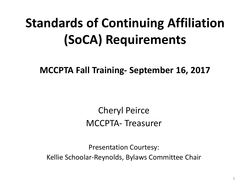### **Standards of Continuing Affiliation (SoCA) Requirements**

**MCCPTA Fall Training- September 16, 2017**

Cheryl Peirce MCCPTA- Treasurer

Presentation Courtesy: Kellie Schoolar-Reynolds, Bylaws Committee Chair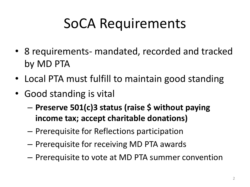## SoCA Requirements

- 8 requirements- mandated, recorded and tracked by MD PTA
- Local PTA must fulfill to maintain good standing
- Good standing is vital
	- **Preserve 501(c)3 status (raise \$ without paying income tax; accept charitable donations)**
	- Prerequisite for Reflections participation
	- Prerequisite for receiving MD PTA awards
	- Prerequisite to vote at MD PTA summer convention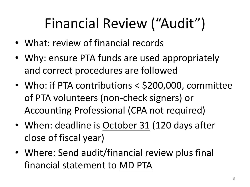# Financial Review ("Audit")

- What: review of financial records
- Why: ensure PTA funds are used appropriately and correct procedures are followed
- Who: if PTA contributions < \$200,000, committee of PTA volunteers (non-check signers) or Accounting Professional (CPA not required)
- When: deadline is October 31 (120 days after close of fiscal year)
- Where: Send audit/financial review plus final financial statement to MD PTA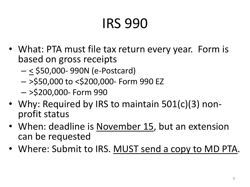# IRS 990

- What: PTA must file tax return every year. Form is based on gross receipts
	- < \$50,000- 990N (e-Postcard)
	- >\$50,000 to <\$200,000- Form 990 EZ
	- >\$200,000- Form 990
- Why: Required by IRS to maintain 501(c)(3) nonprofit status
- When: deadline is November 15, but an extension can be requested
- Where: Submit to IRS. MUST send a copy to MD PTA.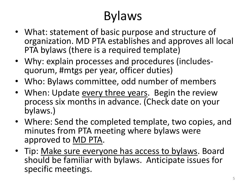### Bylaws

- What: statement of basic purpose and structure of organization. MD PTA establishes and approves all local PTA bylaws (there is a required template)
- Why: explain processes and procedures (includesquorum, #mtgs per year, officer duties)
- Who: Bylaws committee, odd number of members
- When: Update every three years. Begin the review process six months in advance. (Check date on your bylaws.)
- Where: Send the completed template, two copies, and minutes from PTA meeting where bylaws were approved to MD PTA.
- Tip: Make sure everyone has access to bylaws. Board should be familiar with bylaws. Anticipate issues for specific meetings.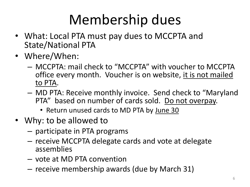# Membership dues

- What: Local PTA must pay dues to MCCPTA and State/National PTA
- Where/When:
	- MCCPTA: mail check to "MCCPTA" with voucher to MCCPTA office every month. Voucher is on website, it is not mailed to PTA.
	- MD PTA: Receive monthly invoice. Send check to "Maryland PTA" based on number of cards sold. Do not overpay.
		- Return unused cards to MD PTA by June 30
- Why: to be allowed to
	- participate in PTA programs
	- receive MCCPTA delegate cards and vote at delegate assemblies
	- vote at MD PTA convention
	- receive membership awards (due by March 31)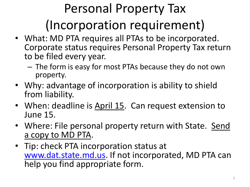# Personal Property Tax (Incorporation requirement)

- What: MD PTA requires all PTAs to be incorporated. Corporate status requires Personal Property Tax return to be filed every year.
	- The form is easy for most PTAs because they do not own property.
- Why: advantage of incorporation is ability to shield from liability.
- When: deadline is April 15. Can request extension to June 15.
- Where: File personal property return with State. Send a copy to MD PTA.
- Tip: check PTA incorporation status at [www.dat.state.md.us](http://www.dat.state.md.us/). If not incorporated, MD PTA can help you find appropriate form.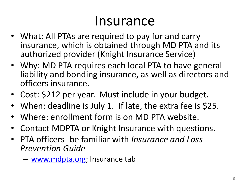#### Insurance

- What: All PTAs are required to pay for and carry insurance, which is obtained through MD PTA and its authorized provider (Knight Insurance Service)
- Why: MD PTA requires each local PTA to have general liability and bonding insurance, as well as directors and officers insurance.
- Cost: \$212 per year. Must include in your budget.
- When: deadline is July 1. If late, the extra fee is \$25.
- Where: enrollment form is on MD PTA website.
- Contact MDPTA or Knight Insurance with questions.
- PTA officers- be familiar with *Insurance and Loss Prevention Guide*
	- [www.mdpta.org](http://www.mdpta.org/); Insurance tab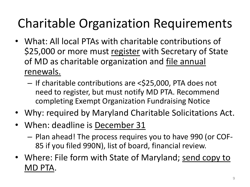### Charitable Organization Requirements

- What: All local PTAs with charitable contributions of \$25,000 or more must register with Secretary of State of MD as charitable organization and file annual renewals.
	- If charitable contributions are <\$25,000, PTA does not need to register, but must notify MD PTA. Recommend completing Exempt Organization Fundraising Notice
- Why: required by Maryland Charitable Solicitations Act.
- When: deadline is December 31
	- Plan ahead! The process requires you to have 990 (or COF-85 if you filed 990N), list of board, financial review.
- Where: File form with State of Maryland; send copy to MD PTA.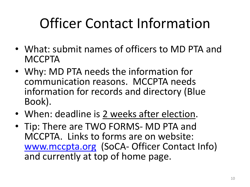## Officer Contact Information

- What: submit names of officers to MD PTA and **MCCPTA**
- Why: MD PTA needs the information for communication reasons. MCCPTA needs information for records and directory (Blue Book).
- When: deadline is 2 weeks after election.
- Tip: There are TWO FORMS- MD PTA and MCCPTA. Links to forms are on website: [www.mccpta.org](http://www.mccpta.org/) (SoCA- Officer Contact Info) and currently at top of home page.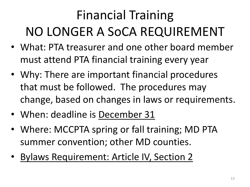## Financial Training NO LONGER A SoCA REQUIREMENT

- What: PTA treasurer and one other board member must attend PTA financial training every year
- Why: There are important financial procedures that must be followed. The procedures may change, based on changes in laws or requirements.
- When: deadline is December 31
- Where: MCCPTA spring or fall training; MD PTA summer convention; other MD counties.
- Bylaws Requirement: Article IV, Section 2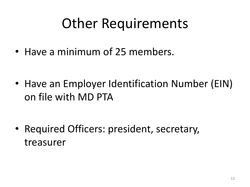### Other Requirements

• Have a minimum of 25 members.

• Have an Employer Identification Number (EIN) on file with MD PTA

• Required Officers: president, secretary, treasurer